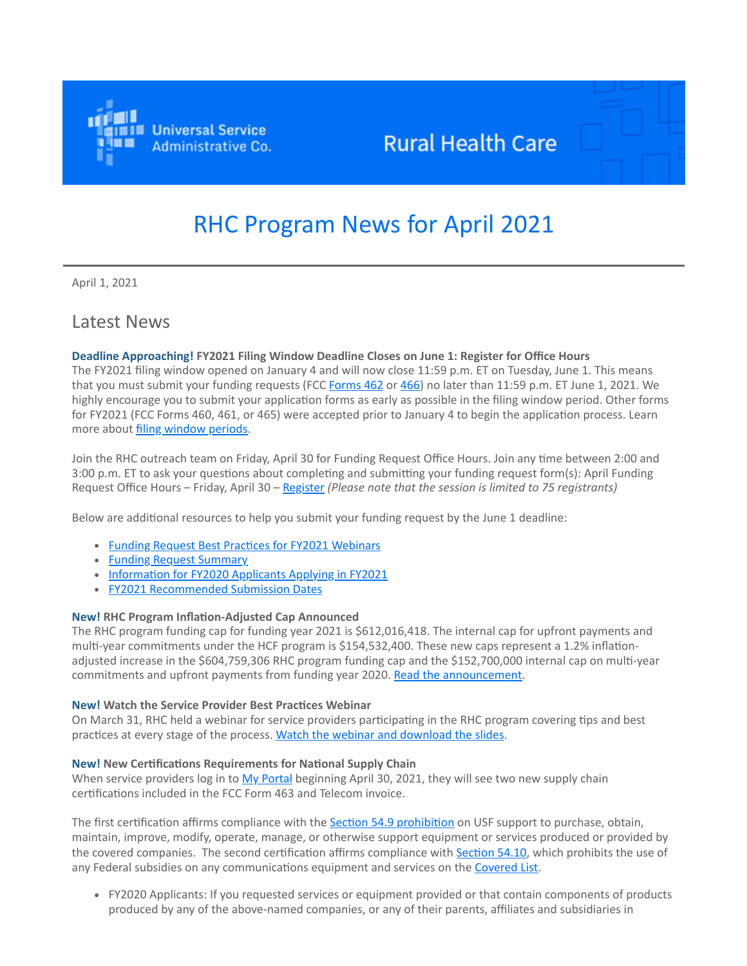

## **Rural Health Care**

# RHC Program News for April 2021

April 1, 2021

### Latest News

### **Deadline Approaching! FY2021 Filing Window Deadline Closes on June 1: Register for Office Hours**

The FY2021 filing window opened on January 4 and will now close 11:59 p.m. ET on Tuesday, June 1. This means that you must submit your funding requests (FCC [Forms 462](https://click.outreach.usac.org/?qs=b299280658773fbea85fd4dbc19147ac02a3b81d2a820791f45545cffbf3e0d6c90e601dc39afc49c0a0f6a89872378305e1bdc0f0d6d869) or [466](https://click.outreach.usac.org/?qs=b299280658773fbea3aabb19d49983c3715800924db7a836fe59969f8879d939af2130036f1a2be84c91a6c07d19ad1e44e7d610db4c3be6)) no later than 11:59 p.m. ET June 1, 2021. We highly encourage you to submit your application forms as early as possible in the filing window period. Other forms for FY2021 (FCC Forms 460, 461, or 465) were accepted prior to January 4 to begin the application process. Learn more about [filing window periods](https://click.outreach.usac.org/?qs=b299280658773fbeb4b235571e805ebda4c87df20502f985617ba41f0c061e51362902419120f5d3212f13d0bbc7c67a7cbf3c9dd7672917).

Join the RHC outreach team on Friday, April 30 for Funding Request Office Hours. Join any time between 2:00 and 3:00 p.m. ET to ask your questions about completing and submitting your funding request form(s): April Funding Request Office Hours – Friday, April 30 – [Register](https://click.outreach.usac.org/?qs=b299280658773fbe1ec71e6c48912727ec614d2a33c84f66295f3ec41594c7fcf4b74f087c2bc3cf35ca67ef7fb826cd88d7a59bf365ac79) *(Please note that the session is limited to 75 registrants)*

Below are additional resources to help you submit your funding request by the June 1 deadline:

- [Funding Request Best Practices for FY2021 Webinars](https://click.outreach.usac.org/?qs=b299280658773fbe2122cab41b6b5c4e9265a2e2dbd9575e0f3bd273648238f78bad2a1df1389aad73247fdbd2eaade7b713c2203eecdfdf)
- [Funding Request Summary](https://click.outreach.usac.org/?qs=b299280658773fbe0987b9d89fd849b64431ccb119e032a52c2ad3c2ddfdca408be6aad49656eb3ce9af4f83a885c5aad2b7b5fcc19567b4)
- [Information for FY2020 Applicants Applying in FY2021](https://click.outreach.usac.org/?qs=b299280658773fbe75c8c1e8206afb43716ca50f1d143c7748ce2d9a0fb57c7c2f684e25098d0cf44dd064eb1723eda8b8cff971460c4867)
- [FY2021 Recommended Submission Dates](https://click.outreach.usac.org/?qs=b299280658773fbe502e13670a84d2750c9bfa73eb8820f33230b6a5648d84df9edefd7bb787204ca4215a2cd514ccdbf14ddb30c07a7d44)

### **New! RHC Program Inflation-Adjusted Cap Announced**

The RHC program funding cap for funding year 2021 is \$612,016,418. The internal cap for upfront payments and multi-year commitments under the HCF program is \$154,532,400. These new caps represent a 1.2% inflationadjusted increase in the \$604,759,306 RHC program funding cap and the \$152,700,000 internal cap on multi-year commitments and upfront payments from funding year 2020. [Read the announcement](https://click.outreach.usac.org/?qs=b299280658773fbea39c96ebb4a424480b3363575712f24c47c58b0fdc846c0124144b89588d8210efee92aee1bba6e9d1e0290cb65eb923).

### **New! Watch the Service Provider Best Practices Webinar**

On March 31, RHC held a webinar for service providers participating in the RHC program covering tips and best practices at every stage of the process. [Watch the webinar and download the slides](https://click.outreach.usac.org/?qs=b299280658773fbe3ce5b7f6787030468002cb0b8ccccc99e0fcd7c28def96b8573accf7cc4995b30e322257d24ea46575736370e0e7d681).

### **New! New Certifications Requirements for National Supply Chain**

When service providers log in to [My Portal](https://click.outreach.usac.org/?qs=b299280658773fbe81b589e59ba833dd557d69649f01b70bc6925230220d317baa64074aa61a243aa19f3978a63f3eb5f90a3c8c3e3c8190) beginning April 30, 2021, they will see two new supply chain certifications included in the FCC Form 463 and Telecom invoice.

The first certification affirms compliance with the **Section 54.9 prohibition** on USF support to purchase, obtain, maintain, improve, modify, operate, manage, or otherwise support equipment or services produced or provided by the covered companies. The second certification affirms compliance with [Section 54.10,](https://click.outreach.usac.org/?qs=b299280658773fbee6ff23d4a80640d6616b55d3c672cf3335c79a8f8ae6fdda2f0ff42de75b346acb95b39b23c2cf689b424494d1ff9c66) which prohibits the use of any Federal subsidies on any communications equipment and services on the [Covered List.](https://click.outreach.usac.org/?qs=b299280658773fbe7c053655440d8ce0ebde4ef9daf9a6c0ad77210de041d9b0e0fe70066d61ada0c2a7344f0f69394af3969b8f6dbc23f0)

FY2020 Applicants: If you requested services or equipment provided or that contain components of products produced by any of the above-named companies, or any of their parents, affiliates and subsidiaries in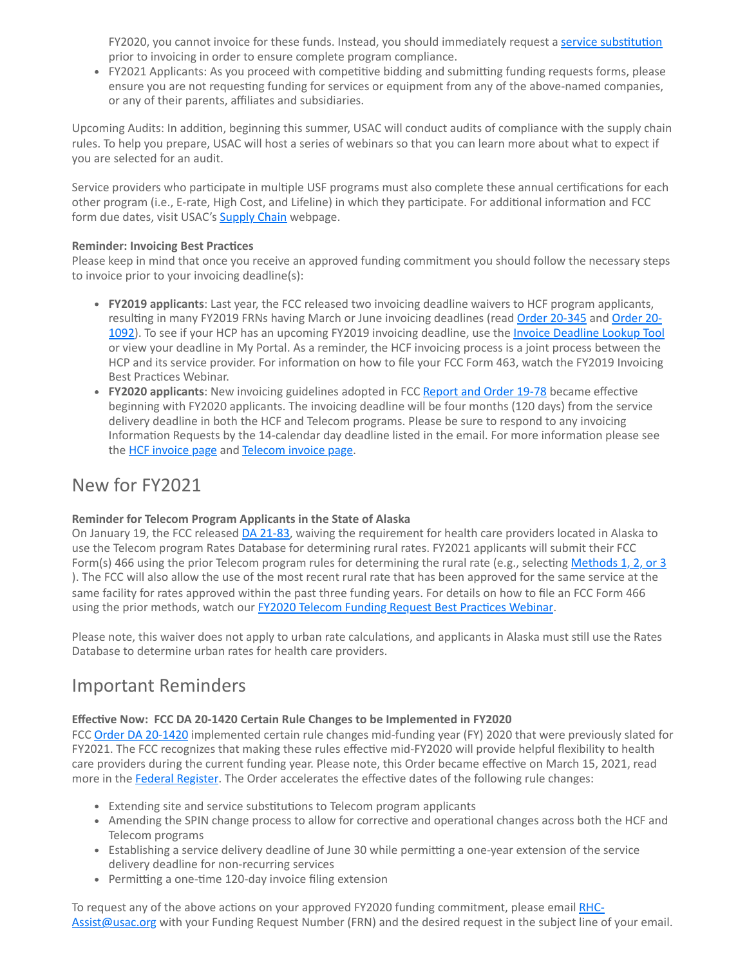FY2020, you cannot invoice for these funds. Instead, you should immediately request a [service substitution](https://click.outreach.usac.org/?qs=b299280658773fbe57493f29e238dd7cd5ee6946358c23048cac61ac3147b1de590fb2186f01fd0603f6d1e2b3b8b07d1fcd62572658d225) prior to invoicing in order to ensure complete program compliance.

FY2021 Applicants: As you proceed with competitive bidding and submitting funding requests forms, please ensure you are not requesting funding for services or equipment from any of the above-named companies, or any of their parents, affiliates and subsidiaries.

Upcoming Audits: In addition, beginning this summer, USAC will conduct audits of compliance with the supply chain rules. To help you prepare, USAC will host a series of webinars so that you can learn more about what to expect if you are selected for an audit.

Service providers who participate in multiple USF programs must also complete these annual certifications for each other program (i.e., E-rate, High Cost, and Lifeline) in which they participate. For additional information and FCC form due dates, visit USAC's **[Supply Chain](https://click.outreach.usac.org/?qs=b299280658773fbe4fa6ac2cdde2251c1afe7aa5fce7a5982e244deeb2cf63ad68f00e3d25f352d836aa40f62ba05f521eb59b1c9c5f2593)** webpage.

### **Reminder: Invoicing Best Practices**

Please keep in mind that once you receive an approved funding commitment you should follow the necessary steps to invoice prior to your invoicing deadline(s):

- **FY2019 applicants**: Last year, the FCC released two invoicing deadline waivers to HCF program applicants, resulting in many FY2019 FRNs having March or June invoicing deadlines (read [Order 20-345](https://click.outreach.usac.org/?qs=b299280658773fbee12932d41a3944c460696f4428b117f62d26f622de3eeede277267cd532797ff9cc1f0a2da75edd18a894694fb69bb4c) and Order 201092). To see if your HCP has an upcoming FY2019 invoicing dead[l](https://click.outreach.usac.org/?qs=b299280658773fbef7fe99249589ba34fe0159c28514c254138a89e7ec7c7b0954dec54f39490e19ab8cc736f40348f169e685c365984646)ine, use the *Invoice Deadline Lookup Tool* or view your deadline in My Portal. As a reminder, the HCF invoicing process is a joint process between the HCP and its service provider. For information on how to file your FCC Form 463, watch the FY2019 Invoicing Best Practices Webinar.
- **FY2020 applicants**: New invoicing guidelines adopted in FCC [Report and Order 19-78](https://click.outreach.usac.org/?qs=b299280658773fbea99f4b1afde6346fff7e6450fac44d11ad467f9da4cdded73de1cfc9ed3af558ab0f07b98c3bf5e890793d6d23557a55) became effective beginning with FY2020 applicants. The invoicing deadline will be four months (120 days) from the service delivery deadline in both the HCF and Telecom programs. Please be sure to respond to any invoicing Information Requests by the 14-calendar day deadline listed in the email. For more information please see the **HCF** invoice page and [Telecom invoice page](https://click.outreach.usac.org/?qs=b299280658773fbe38629fbb5c994851def2df50fd8610d507f0b48efd97cfddb6bf87229f75cc07a419f85b1201f2e3b48309b0e88b2a38).

### New for FY2021

### **Reminder for Telecom Program Applicants in the State of Alaska**

On January 19, the FCC released [DA 21-83](https://click.outreach.usac.org/?qs=b299280658773fbeb1ef09f54facce4481da1fc4b61ee5f34266c0eefe7ab87e93964351c14777975388a0ede7d90277602cfc53cccd3c08), waiving the requirement for health care providers located in Alaska to use the Telecom program Rates Database for determining rural rates. FY2021 applicants will submit their FCC Form(s) 466 using the prior Telecom program rules for determining the rural rate (e.g., selecting [Methods 1, 2, or 3](https://click.outreach.usac.org/?qs=b299280658773fbec25f4de405f15c72e54619bf896a1e4304e81b44ee5d7fb7a5afab4766910da7508f01f70abf550e1cd3212c1f3467ae) ). The FCC will also allow the use of the most recent rural rate that has been approved for the same service at the same facility for rates approved within the past three funding years. For details on how to file an FCC Form 466 using the prior methods, watch our **FY2020 Telecom Funding Request Best Practices Webinar**.

Please note, this waiver does not apply to urban rate calculations, and applicants in Alaska must still use the Rates Database to determine urban rates for health care providers.

### Important Reminders

### **Effective Now: FCC DA 20-1420 Certain Rule Changes to be Implemented in FY2020**

FCC [Order DA 20-1420](https://click.outreach.usac.org/?qs=b299280658773fbe0e1906947e1368b649373ced7611c03c363d5415f4d1a90445ac55f4d2622f1f3c4883672483398d8b999eff01a39f1f) implemented certain rule changes mid-funding year (FY) 2020 that were previously slated for FY2021. The FCC recognizes that making these rules effective mid-FY2020 will provide helpful flexibility to health care providers during the current funding year. Please note, this Order became effective on March 15, 2021, read more in the [Federal Register](https://click.outreach.usac.org/?qs=b299280658773fbe376a92bb1c3d8c71f57eaad71d832d6cdb18bca16c0c645d2522930a8d4eca0cbd835790c5e41c28b95e5b5e7d48b1c0). The Order accelerates the effective dates of the following rule changes:

- Extending site and service substitutions to Telecom program applicants
- Amending the SPIN change process to allow for corrective and operational changes across both the HCF and Telecom programs
- Establishing a service delivery deadline of June 30 while permitting a one-year extension of the service delivery deadline for non-recurring services
- Permitting a one-time 120-day invoice filing extension

[To request any of the above actions on your approved FY2020 funding commitment, please email RHC-](mailto:RHC-Assist@usac.org?subject=)Assist@usac.org with your Funding Request Number (FRN) and the desired request in the subject line of your email.